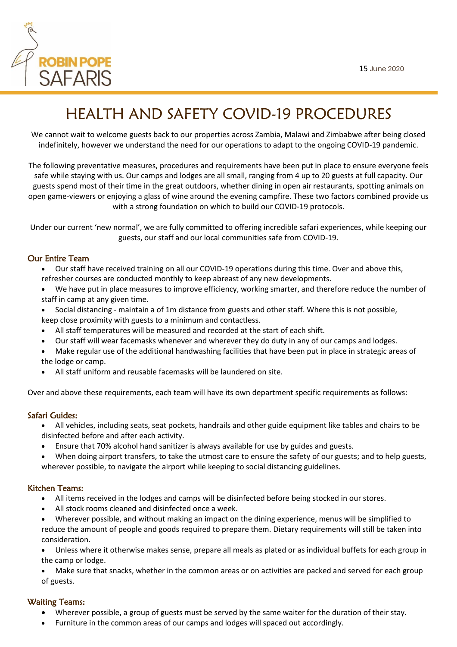

# HEALTH AND SAFETY COVID-19 PROCEDURES

We cannot wait to welcome guests back to our properties across Zambia, Malawi and Zimbabwe after being closed indefinitely, however we understand the need for our operations to adapt to the ongoing COVID-19 pandemic.

The following preventative measures, procedures and requirements have been put in place to ensure everyone feels safe while staying with us. Our camps and lodges are all small, ranging from 4 up to 20 guests at full capacity. Our guests spend most of their time in the great outdoors, whether dining in open air restaurants, spotting animals on open game-viewers or enjoying a glass of wine around the evening campfire. These two factors combined provide us with a strong foundation on which to build our COVID-19 protocols.

Under our current 'new normal', we are fully committed to offering incredible safari experiences, while keeping our guests, our staff and our local communities safe from COVID-19.

## Our Entire Team

- Our staff have received training on all our COVID-19 operations during this time. Over and above this, refresher courses are conducted monthly to keep abreast of any new developments.
- We have put in place measures to improve efficiency, working smarter, and therefore reduce the number of staff in camp at any given time.
- Social distancing maintain a of 1m distance from guests and other staff. Where this is not possible, keep close proximity with guests to a minimum and contactless.
- All staff temperatures will be measured and recorded at the start of each shift.
- Our staff will wear facemasks whenever and wherever they do duty in any of our camps and lodges.
- Make regular use of the additional handwashing facilities that have been put in place in strategic areas of the lodge or camp.
- All staff uniform and reusable facemasks will be laundered on site.

Over and above these requirements, each team will have its own department specific requirements as follows:

## Safari Guides:

- All vehicles, including seats, seat pockets, handrails and other guide equipment like tables and chairs to be disinfected before and after each activity.
- Ensure that 70% alcohol hand sanitizer is always available for use by guides and guests.
- When doing airport transfers, to take the utmost care to ensure the safety of our guests; and to help guests, wherever possible, to navigate the airport while keeping to social distancing guidelines.

## Kitchen Teams:

- All items received in the lodges and camps will be disinfected before being stocked in our stores.
- All stock rooms cleaned and disinfected once a week.
- Wherever possible, and without making an impact on the dining experience, menus will be simplified to reduce the amount of people and goods required to prepare them. Dietary requirements will still be taken into consideration.
- Unless where it otherwise makes sense, prepare all meals as plated or as individual buffets for each group in the camp or lodge.
- Make sure that snacks, whether in the common areas or on activities are packed and served for each group of guests.

# Waiting Teams:

- Wherever possible, a group of guests must be served by the same waiter for the duration of their stay.
- Furniture in the common areas of our camps and lodges will spaced out accordingly.